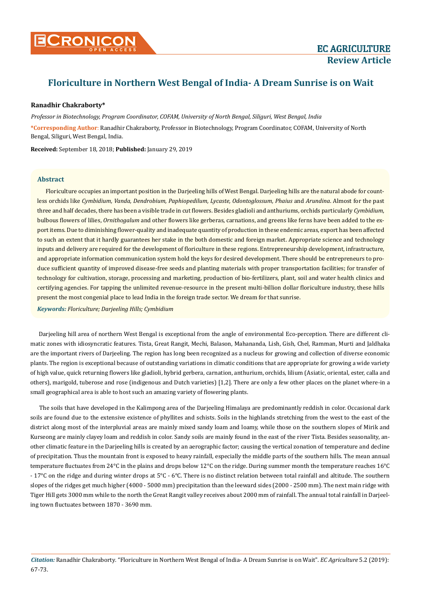

# **Floriculture in Northern West Bengal of India- A Dream Sunrise is on Wait**

### **Ranadhir Chakraborty\***

*Professor in Biotechnology, Program Coordinator, COFAM, University of North Bengal, Siliguri, West Bengal, India*

**\*Corresponding Author**: Ranadhir Chakraborty, Professor in Biotechnology, Program Coordinator, COFAM, University of North Bengal, Siliguri, West Bengal, India.

**Received:** September 18, 2018; **Published:** January 29, 2019

#### **Abstract**

Floriculture occupies an important position in the Darjeeling hills of West Bengal. Darjeeling hills are the natural abode for countless orchids like *Cymbidium, Vanda, Dendrobium, Paphiopedilum, Lycaste, Odontoglossum, Phaius* and *Arundina*. Almost for the past three and half decades, there has been a visible trade in cut flowers. Besides gladioli and anthuriums, orchids particularly *Cymbidium*, bulbous flowers of lilies, *Ornithogalum* and other flowers like gerberas, carnations, and greens like ferns have been added to the export items. Due to diminishing flower-quality and inadequate quantity of production in these endemic areas, export has been affected to such an extent that it hardly guarantees her stake in the both domestic and foreign market. Appropriate science and technology inputs and delivery are required for the development of floriculture in these regions. Entrepreneurship development, infrastructure, and appropriate information communication system hold the keys for desired development. There should be entrepreneurs to produce sufficient quantity of improved disease-free seeds and planting materials with proper transportation facilities; for transfer of technology for cultivation, storage, processing and marketing, production of bio-fertilizers, plant, soil and water health clinics and certifying agencies. For tapping the unlimited revenue-resource in the present multi-billion dollar floriculture industry, these hills present the most congenial place to lead India in the foreign trade sector. We dream for that sunrise.

*Keywords: Floriculture; Darjeeling Hills; Cymbidium*

Darjeeling hill area of northern West Bengal is exceptional from the angle of environmental Eco-perception. There are different climatic zones with idiosyncratic features. Tista, Great Rangit, Mechi, Balason, Mahananda, Lish, Gish, Chel, Ramman, Murti and Jaldhaka are the important rivers of Darjeeling. The region has long been recognized as a nucleus for growing and collection of diverse economic plants. The region is exceptional because of outstanding variations in climatic conditions that are appropriate for growing a wide variety of high value, quick returning flowers like gladioli, hybrid gerbera, carnation, anthurium, orchids, lilium (Asiatic, oriental, ester, calla and others), marigold, tuberose and rose (indigenous and Dutch varieties) [1,2]. There are only a few other places on the planet where-in a small geographical area is able to host such an amazing variety of flowering plants.

The soils that have developed in the Kalimpong area of the Darjeeling Himalaya are predominantly reddish in color. Occasional dark soils are found due to the extensive existence of phyllites and schists. Soils in the highlands stretching from the west to the east of the district along most of the interpluvial areas are mainly mixed sandy loam and loamy, while those on the southern slopes of Mirik and Kurseong are mainly clayey loam and reddish in color. Sandy soils are mainly found in the east of the river Tista. Besides seasonality, another climatic feature in the Darjeeling hills is created by an aerographic factor; causing the vertical zonation of temperature and decline of precipitation. Thus the mountain front is exposed to heavy rainfall, especially the middle parts of the southern hills. The mean annual temperature fluctuates from 24°C in the plains and drops below 12°C on the ridge. During summer month the temperature reaches 16°C - 17°C on the ridge and during winter drops at 5°C - 6°C. There is no distinct relation between total rainfall and altitude. The southern slopes of the ridges get much higher (4000 - 5000 mm) precipitation than the leeward sides (2000 - 2500 mm). The next main ridge with Tiger Hill gets 3000 mm while to the north the Great Rangit valley receives about 2000 mm of rainfall. The annual total rainfall in Darjeeling town fluctuates between 1870 - 3690 mm.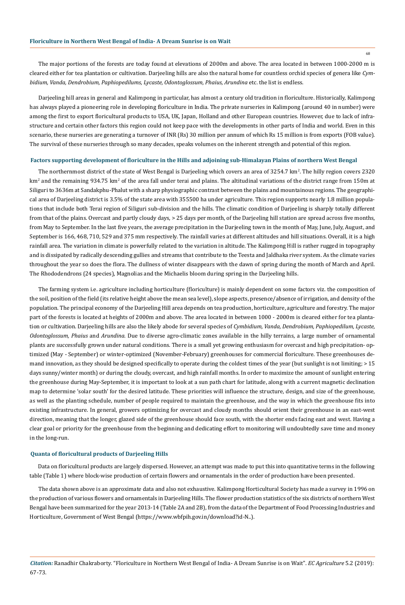The major portions of the forests are today found at elevations of 2000m and above. The area located in between 1000-2000 m is cleared either for tea plantation or cultivation. Darjeeling hills are also the natural home for countless orchid species of genera like *Cymbidium, Vanda, Dendrobium, Paphiopedilums, Lycaste, Odontoglossum, Phaius, Arundina* etc. the list is endless.

Darjeeling hill areas in general and Kalimpong in particular, has almost a century old tradition in floriculture. Historically, Kalimpong has always played a pioneering role in developing floriculture in India. The private nurseries in Kalimpong (around 40 in number) were among the first to export floricultural products to USA, UK, Japan, Holland and other European countries. However, due to lack of infrastructure and certain other factors this region could not keep pace with the developments in other parts of India and world. Even in this scenario, these nurseries are generating a turnover of INR (Rs) 30 million per annum of which Rs 15 million is from exports (FOB value). The survival of these nurseries through so many decades, speaks volumes on the inherent strength and potential of this region.

#### **Factors supporting development of floriculture in the Hills and adjoining sub-Himalayan Plains of northern West Bengal**

The northernmost district of the state of West Bengal is Darjeeling which covers an area of 3254.7 km². The hilly region covers 2320 km<sup>2</sup> and the remaining 934.75 km<sup>2</sup> of the area fall under terai and plains. The altitudinal variations of the district range from 150m at Siliguri to 3636m at Sandakphu-Phalut with a sharp physiographic contrast between the plains and mountainous regions. The geographical area of Darjeeling district is 3.5% of the state area with 355500 ha under agriculture. This region supports nearly 1.8 million populations that include both Terai region of Siliguri sub-division and the hills. The climatic condition of Darjeeling is sharply totally different from that of the plains. Overcast and partly cloudy days, > 25 days per month, of the Darjeeling hill station are spread across five months, from May to September. In the last five years, the average precipitation in the Darjeeling town in the month of May, June, July, August, and September is 166, 468, 710, 529 and 375 mm respectively. The rainfall varies at different altitudes and hill situations. Overall, it is a high rainfall area. The variation in climate is powerfully related to the variation in altitude. The Kalimpong Hill is rather rugged in topography and is dissipated by radically descending gullies and streams that contribute to the Teesta and Jaldhaka river system. As the climate varies throughout the year so does the flora. The dullness of winter disappears with the dawn of spring during the month of March and April. The Rhododendrons (24 species), Magnolias and the Michaelis bloom during spring in the Darjeeling hills.

The farming system i.e. agriculture including horticulture (floriculture) is mainly dependent on some factors viz. the composition of the soil, position of the field (its relative height above the mean sea level), slope aspects, presence/absence of irrigation, and density of the population. The principal economy of the Darjeeling Hill area depends on tea production, horticulture, agriculture and forestry. The major part of the forests is located at heights of 2000m and above. The area located in between 1000 - 2000m is cleared either for tea plantation or cultivation. Darjeeling hills are also the likely abode for several species of *Cymbidium, Vanda, Dendrobium, Paphiopedilum, Lycaste, Odontoglossum, Phaius* and *Arundina*. Due to diverse agro-climatic zones available in the hilly terrains, a large number of ornamental plants are successfully grown under natural conditions. There is a small yet growing enthusiasm for overcast and high precipitation- optimized (May - September) or winter-optimized (November-February) greenhouses for commercial floriculture. These greenhouses demand innovation, as they should be designed specifically to operate during the coldest times of the year (but sunlight is not limiting; > 15 days sunny/winter month) or during the cloudy, overcast, and high rainfall months. In order to maximize the amount of sunlight entering the greenhouse during May-September, it is important to look at a sun path chart for latitude, along with a current magnetic declination map to determine 'solar south' for the desired latitude. These priorities will influence the structure, design, and size of the greenhouse, as well as the planting schedule, number of people required to maintain the greenhouse, and the way in which the greenhouse fits into existing infrastructure. In general, growers optimizing for overcast and cloudy months should orient their greenhouse in an east-west direction, meaning that the longer, glazed side of the greenhouse should face south, with the shorter ends facing east and west. Having a clear goal or priority for the greenhouse from the beginning and dedicating effort to monitoring will undoubtedly save time and money in the long-run.

#### **Quanta of floricultural products of Darjeeling Hills**

Data on floricultural products are largely dispersed. However, an attempt was made to put this into quantitative terms in the following table (Table 1) where block-wise production of certain flowers and ornamentals in the order of production have been presented.

The data shown above is an approximate data and also not exhaustive. Kalimpong Horticultural Society has made a survey in 1996 on the production of various flowers and ornamentals in Darjeeling Hills. The flower production statistics of the six districts of northern West Bengal have been summarized for the year 2013-14 (Table 2A and 2B), from the data of the Department of Food Processing Industries and Horticulture, Government of West Bengal (https://www.wbfpih.gov.in/download?id-N..).

*Citation:* Ranadhir Chakraborty*.* "Floriculture in Northern West Bengal of India- A Dream Sunrise is on Wait". *EC Agriculture* 5.2 (2019): 67-73.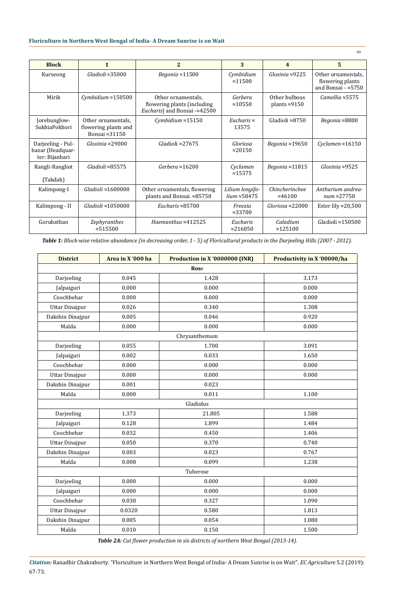### **Floriculture in Northern West Bengal of India- A Dream Sunrise is on Wait**

| <b>Block</b>                                            | 1                                                           | $\overline{2}$                                                                                      | 3                                       | $\overline{4}$                         | 5                                                                     |
|---------------------------------------------------------|-------------------------------------------------------------|-----------------------------------------------------------------------------------------------------|-----------------------------------------|----------------------------------------|-----------------------------------------------------------------------|
| Kurseong                                                | Gladioli $\approx$ 35000                                    | Begonia $\approx$ 11500                                                                             | Cymbidium<br>$\approx 11500$            | $Gloxinia \approx 9225$                | Other ornamentals.<br>flowering plants<br>and Bonsai - $\approx$ 5750 |
| Mirik                                                   | Cymbidium $\approx$ 150500                                  | Other ornamentals.<br>flowering plants (including<br><i>Eucharis</i> ) and Bonsai - $\approx$ 42500 | Gerbera<br>$\approx 10550$              | Other bulbous<br>plants $\approx$ 9150 | Camellia $\approx$ 5575                                               |
| Jorebunglow-<br>SukhiaPokhori                           | Other ornamentals,<br>flowering plants and<br>Bonsai ≈31150 | Cymbidium $\approx$ 15150                                                                           | Eucharis $\approx$<br>13575             | Gladioli $\approx 8750$                | Begonia $\approx$ 8800                                                |
| Darjeeling - Pul-<br>bazar (Headquar-<br>ter: Bijanbari | $Gloxinia \approx 29000$                                    | Gladioli $\approx$ 27675                                                                            | Gloriosa<br>$\approx$ 20150             | Begonia $\approx$ 19650                | Cyclamen $\approx$ 16150                                              |
| Rangli-Rangliot<br>(Takdah)                             | $Gladioli \approx 85575$                                    | Gerberg $\approx 16200$                                                                             | Cyclamen<br>$\approx 15375$             | Begonia $\approx$ 11815                | Gloxinia $\approx$ 9525                                               |
| Kalimpong-I                                             | $Gladioli \approx 1600000$                                  | Other ornamentals, flowering<br>plants and Bonsai. $\approx 85750$                                  | Lilium longifo-<br>$lium \approx 58475$ | Chincherinchee<br>$\approx 46100$      | Anthurium andrea-<br>$num \approx 27750$                              |
| Kalimpong - II                                          | $Gladioli \approx 1050000$                                  | Eucharis $\approx 85700$                                                                            | Freezia<br>$\approx$ 33700              | Gloriosa $\approx$ 22000               | Ester lily $\approx$ 20,500                                           |
| Gorubathan                                              | <b>Zephyranthes</b><br>$\approx 515500$                     | Haemanthus $\approx$ 412525                                                                         | Eucharis<br>$\approx$ 216050            | Caladium<br>$\approx 125100$           | Gladioli ≈150500                                                      |

*Table 1: Block-wise relative abundance (in decreasing order, 1 - 5) of Floricultural products in the Darjeeling Hills (2007 - 2012).*

| <b>District</b>       | Area in X '000 ha | Production in X '0000000 (INR) | Productivity in X'00000/ha |  |  |
|-----------------------|-------------------|--------------------------------|----------------------------|--|--|
|                       | Rose              |                                |                            |  |  |
| Darjeeling            | 0.045             | 1.428                          | 3.173                      |  |  |
| Jalpaiguri            | 0.000             | 0.000                          | 0.000                      |  |  |
| Coochbehar            | 0.000             | 0.000                          | 0.000                      |  |  |
| <b>Uttar Dinajpur</b> | 0.026             | 0.340                          | 1.308                      |  |  |
| Dakshin Dinajpur      | 0.005             | 0.046                          | 0.920                      |  |  |
| Malda                 | 0.000             | 0.000                          | 0.000                      |  |  |
| Chrysanthemum         |                   |                                |                            |  |  |
| Darjeeling            | 0.055             | 1.700                          | 3.091                      |  |  |
| Jalpaiguri            | 0.002             | 0.033                          | 1.650                      |  |  |
| Coochbehar            | 0.000             | 0.000                          | 0.000                      |  |  |
| <b>Uttar Dinajpur</b> | 0.000             | 0.000                          | 0.000                      |  |  |
| Dakshin Dinajpur      | 0.001             | 0.023                          |                            |  |  |
| Malda                 | 0.000             | 0.011                          | 1.100                      |  |  |
|                       |                   | Gladiolus                      |                            |  |  |
| Darjeeling            | 1.373             | 21.805                         | 1.588                      |  |  |
| Jalpaiguri            | 0.128             | 1.899                          | 1.484                      |  |  |
| Coochbehar            | 0.032             | 0.450                          | 1.406                      |  |  |
| Uttar Dinajpur        | 0.050             | 0.370                          | 0.740                      |  |  |
| Dakshin Dinajpur      | 0.003             | 0.023                          | 0.767                      |  |  |
| Malda                 | 0.008             | 0.099                          | 1.238                      |  |  |
| Tuberose              |                   |                                |                            |  |  |
| Darjeeling            | 0.000             | 0.000                          | 0.000                      |  |  |
| Jalpaiguri            | 0.000             | 0.000                          | 0.000                      |  |  |
| Coochbehar            | 0.030             | 0.327                          | 1.090                      |  |  |
| <b>Uttar Dinajpur</b> | 0.0320            | 0.580                          | 1.813                      |  |  |
| Dakshin Dinajpur      | 0.005             | 0.054                          | 1.080                      |  |  |
| Malda                 | 0.010             | 0.150                          | 1.500                      |  |  |

*Table 2A: Cut flower production in six districts of northern West Bengal (2013-14).*

*Citation:* Ranadhir Chakraborty*.* "Floriculture in Northern West Bengal of India- A Dream Sunrise is on Wait". *EC Agriculture* 5.2 (2019): 67-73.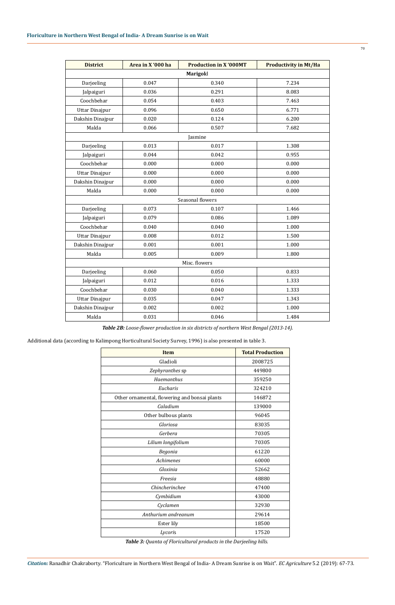| <b>District</b>       | Area in X'000 ha | <b>Production in X '000MT</b> | <b>Productivity in Mt/Ha</b> |  |  |
|-----------------------|------------------|-------------------------------|------------------------------|--|--|
| Marigold              |                  |                               |                              |  |  |
| Darjeeling            | 0.047            | 0.340                         | 7.234                        |  |  |
| Jalpaiguri            | 0.036            | 0.291                         | 8.083                        |  |  |
| Coochbehar            | 0.054            | 0.403                         | 7.463                        |  |  |
| Uttar Dinajpur        | 0.096            | 0.650                         | 6.771                        |  |  |
| Dakshin Dinajpur      | 0.020            | 0.124                         | 6.200                        |  |  |
| Malda                 | 0.066            | 0.507                         | 7.682                        |  |  |
| Jasmine               |                  |                               |                              |  |  |
| Darjeeling            | 0.013            | 0.017                         | 1.308                        |  |  |
| Jalpaiguri            | 0.044            | 0.042                         | 0.955                        |  |  |
| Coochbehar            | 0.000            | 0.000                         | 0.000                        |  |  |
| Uttar Dinajpur        | 0.000            | 0.000                         | 0.000                        |  |  |
| Dakshin Dinajpur      | 0.000            | 0.000                         | 0.000                        |  |  |
| Malda                 | 0.000            | 0.000                         | 0.000                        |  |  |
| Seasonal flowers      |                  |                               |                              |  |  |
| Darjeeling            | 0.073            | 0.107                         | 1.466                        |  |  |
| Jalpaiguri            | 0.079            | 0.086                         | 1.089                        |  |  |
| Coochbehar            | 0.040            | 0.040                         | 1.000                        |  |  |
| <b>Uttar Dinajpur</b> | 0.008            | 0.012                         | 1.500                        |  |  |
| Dakshin Dinajpur      | 0.001            | 0.001                         | 1.000                        |  |  |
| Malda                 | 0.005            | 0.009                         | 1.800                        |  |  |
| Misc. flowers         |                  |                               |                              |  |  |
| Darjeeling            | 0.060            | 0.050                         | 0.833                        |  |  |
| Jalpaiguri            | 0.012            | 0.016                         | 1.333                        |  |  |
| Coochbehar            | 0.030            | 0.040                         | 1.333                        |  |  |
| <b>Uttar Dinajpur</b> | 0.035            | 0.047                         | 1.343                        |  |  |
| Dakshin Dinajpur      | 0.002            | 0.002                         | 1.000                        |  |  |
| Malda                 | 0.031            | 0.046                         | 1.484                        |  |  |

*Table 2B: Loose-flower production in six districts of northern West Bengal (2013-14).*

Additional data (according to Kalimpong Horticultural Society Survey, 1996) is also presented in table 3.

| <b>Item</b>                                   | <b>Total Production</b> |
|-----------------------------------------------|-------------------------|
| Gladioli                                      | 2008725                 |
| Zephyranthes sp                               | 449800                  |
| Haemanthus                                    | 359250                  |
| Eucharis                                      | 324210                  |
| Other ornamental, flowering and bonsai plants | 146872                  |
| Caladium                                      | 139000                  |
| Other bulbous plants                          | 96045                   |
| Gloriosa                                      | 83035                   |
| Gerbera                                       | 70305                   |
| Lilium longifolium                            | 70305                   |
| Begonia                                       | 61220                   |
| Achimenes                                     | 60000                   |
| Gloxinia                                      | 52662                   |
| Freesia                                       | 48880                   |
| Chincherinchee                                | 47400                   |
| Cymbidium                                     | 43000                   |
| Cyclamen                                      | 32930                   |
| Anthurium andreanum                           | 29614                   |
| Ester lily                                    | 18500                   |
| Lycoris                                       | 17520                   |

*Table 3: Quanta of Floricultural products in the Darjeeling hills.*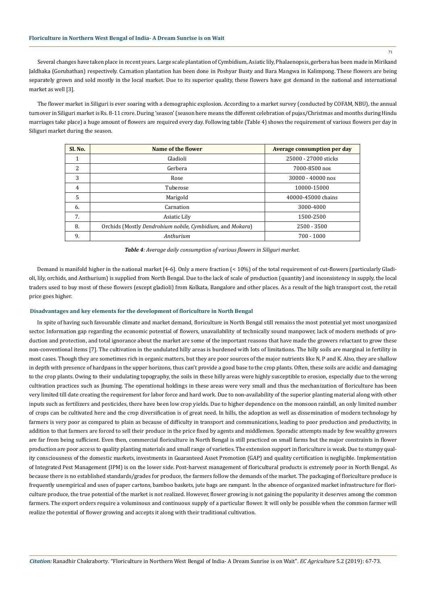Several changes have taken place in recent years. Large scale plantation of Cymbidium, Asiatic lily, Phalaenopsis, gerbera has been made in Mirikand Jaldhaka (Gorubathan) respectively. Carnation plantation has been done in Poshyar Busty and Bara Mangwa in Kalimpong. These flowers are being separately grown and sold mostly in the local market. Due to its superior quality, these flowers have got demand in the national and international market as well [3].

The flower market in Siliguri is ever soaring with a demographic explosion. According to a market survey (conducted by COFAM, NBU), the annual turnover in Siliguri market is Rs. 8-11 crore. During 'season' (season here means the different celebration of pujas/Christmas and months during Hindu marriages take place) a huge amount of flowers are required every day. Following table (Table 4) shows the requirement of various flowers per day in Siliguri market during the season.

| Sl. No.        | Name of the flower                                        | Average consumption per day |
|----------------|-----------------------------------------------------------|-----------------------------|
|                | Gladioli                                                  | 25000 - 27000 sticks        |
| 2              | Gerbera                                                   | 7000-8500 nos               |
| 3              | Rose                                                      | 30000 - 40000 nos           |
| $\overline{4}$ | Tuberose                                                  | 10000-15000                 |
| 5              | Marigold                                                  | 40000-45000 chains          |
| 6.             | Carnation                                                 | 3000-4000                   |
| 7.             | Asiatic Lily                                              | 1500-2500                   |
| 8.             | Orchids (Mostly Dendrobium nobile, Cymbidium, and Mokara) | $2500 - 3500$               |
| 9.             | Anthurium                                                 | $700 - 1000$                |

*Table 4: Average daily consumption of various flowers in Siliguri market.*

Demand is manifold higher in the national market [4-6]. Only a mere fraction (< 10%) of the total requirement of cut-flowers (particularly Gladioli, lily, orchids, and Anthurium) is supplied from North Bengal. Due to the lack of scale of production (quantity) and inconsistency in supply, the local traders used to buy most of these flowers (except gladioli) from Kolkata, Bangalore and other places. As a result of the high transport cost, the retail price goes higher.

#### **Disadvantages and key elements for the development of floriculture in North Bengal**

In spite of having such favourable climate and market demand, floriculture in North Bengal still remains the most potential yet most unorganized sector. Information gap regarding the economic potential of flowers, unavailability of technically sound manpower, lack of modern methods of production and protection, and total ignorance about the market are some of the important reasons that have made the growers reluctant to grow these non-conventional items [7]. The cultivation in the undulated hilly areas is burdened with lots of limitations. The hilly soils are marginal in fertility in most cases. Though they are sometimes rich in organic matters, but they are poor sources of the major nutrients like N, P and K. Also, they are shallow in depth with presence of hardpans in the upper horizons, thus can't provide a good base to the crop plants. Often, these soils are acidic and damaging to the crop plants. Owing to their undulating topography, the soils in these hilly areas were highly susceptible to erosion, especially due to the wrong cultivation practices such as Jhuming. The operational holdings in these areas were very small and thus the mechanization of floriculture has been very limited till date creating the requirement for labor force and hard work. Due to non-availability of the superior planting material along with other inputs such as fertilizers and pesticides, there have been low crop yields. Due to higher dependence on the monsoon rainfall, an only limited number of crops can be cultivated here and the crop diversification is of great need. In hills, the adoption as well as dissemination of modern technology by farmers is very poor as compared to plain as because of difficulty in transport and communications, leading to poor production and productivity, in addition to that farmers are forced to sell their produce in the price fixed by agents and middlemen. Sporadic attempts made by few wealthy growers are far from being sufficient. Even then, commercial floriculture in North Bengal is still practiced on small farms but the major constraints in flower production are poor access to quality planting materials and small range of varieties. The extension support in floriculture is weak. Due to stumpy quality consciousness of the domestic markets, investments in Guaranteed Asset Promotion (GAP) and quality certification is negligible. Implementation of Integrated Pest Management (IPM) is on the lower side. Post-harvest management of floricultural products is extremely poor in North Bengal. As because there is no established standards/grades for produce, the farmers follow the demands of the market. The packaging of floriculture produce is frequently unempirical and uses of paper cartons, bamboo baskets, jute bags are rampant. In the absence of organized market infrastructure for floriculture produce, the true potential of the market is not realized. However, flower growing is not gaining the popularity it deserves among the common farmers. The export orders require a voluminous and continuous supply of a particular flower. It will only be possible when the common farmer will realize the potential of flower growing and accepts it along with their traditional cultivation.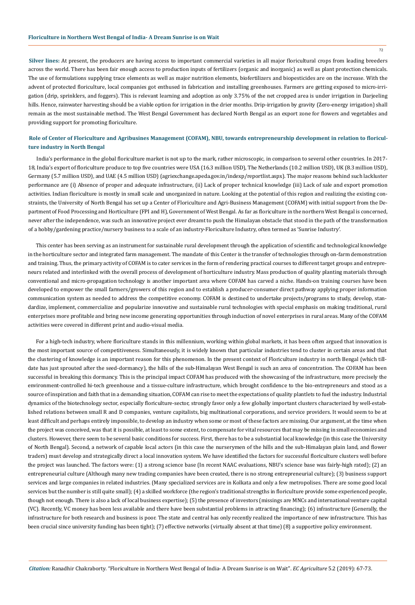**Silver lines:** At present, the producers are having access to important commercial varieties in all major floricultural crops from leading breeders across the world. There has been fair enough access to production inputs of fertilizers (organic and inorganic) as well as plant protection chemicals. The use of formulations supplying trace elements as well as major nutrition elements, biofertilizers and biopesticides are on the increase. With the advent of protected floriculture, local companies got enthused in fabrication and installing greenhouses. Farmers are getting exposed to micro-irrigation (drip, sprinklers, and foggers). This is relevant learning and adoption as only 3.75% of the net cropped area is under irrigation in Darjeeling hills. Hence, rainwater harvesting should be a viable option for irrigation in the drier months. Drip-irrigation by gravity (Zero-energy irrigation) shall remain as the most sustainable method. The West Bengal Government has declared North Bengal as an export zone for flowers and vegetables and providing support for promoting floriculture.

### **Role of Center of Floriculture and Agribusines Management (COFAM), NBU, towards entrepreneurship development in relation to floriculture industry in North Bengal**

India's performance in the global floriculture market is not up to the mark, rather microscopic, in comparison to several other countries. In 2017- 18, India's export of floriculture produce to top five countries were USA (16.3 million USD), The Netherlands (10.2 million USD), UK (8.3 million USD), Germany (5.7 million USD), and UAE (4.5 million USD) (agriexchange.apeda.gov.in/indexp/reportlist.aspx). The major reasons behind such lackluster performance are (i) Absence of proper and adequate infrastructure, (ii) Lack of proper technical knowledge (iii) Lack of sale and export promotion activities. Indian floriculture is mostly in small scale and unorganized in nature. Looking at the potential of this region and realizing the existing constraints, the University of North Bengal has set up a Center of Floriculture and Agri-Business Management (COFAM) with initial support from the Department of Food Processing and Horticulture (FPI and H), Government of West Bengal. As far as floriculture in the northern West Bengal is concerned, never after the independence, was such an innovative project ever dreamt to push the Himalayan obstacle that stood in the path of the transformation of a hobby/gardening practice/nursery business to a scale of an industry-Floriculture Industry, often termed as 'Sunrise Industry'.

This center has been serving as an instrument for sustainable rural development through the application of scientific and technological knowledge in the horticulture sector and integrated farm management. The mandate of this Center is the transfer of technologies through on-farm demonstration and training. Thus, the primary activity of COFAM is to cater services in the form of rendering practical courses to different target groups and entrepreneurs related and interlinked with the overall process of development of horticulture industry. Mass production of quality planting materials through conventional and micro-propagation technology is another important area where COFAM has carved a niche. Hands-on training courses have been developed to empower the small farmers/growers of this region and to establish a producer-consumer direct pathway applying proper information communication system as needed to address the competitive economy. COFAM is destined to undertake projects/programs to study, develop, standardize, implement, commercialize and popularize innovative and sustainable rural technologies with special emphasis on making traditional, rural enterprises more profitable and bring new income generating opportunities through induction of novel enterprises in rural areas. Many of the COFAM activities were covered in different print and audio-visual media.

For a high-tech industry, where floriculture stands in this millennium, working within global markets, it has been often argued that innovation is the most important source of competitiveness. Simultaneously, it is widely known that particular industries tend to cluster in certain areas and that the clustering of knowledge is an important reason for this phenomenon. In the present context of Floriculture industry in north Bengal (which tilldate has just sprouted after the seed-dormancy), the hills of the sub-Himalayan West Bengal is such an area of concentration. The COFAM has been successful in breaking this dormancy. This is the principal impact COFAM has produced with the showcasing of the infrastructure, more precisely the environment-controlled hi-tech greenhouse and a tissue-culture infrastructure, which brought confidence to the bio-entrepreneurs and stood as a source of inspiration and faith that in a demanding situation, COFAM can rise to meet the expectations of quality plantlets to fuel the industry. Industrial dynamics of the biotechnology sector, especially floriculture-sector, strongly favor only a few globally important clusters characterized by well-established relations between small R and D companies, venture capitalists, big multinational corporations, and service providers. It would seem to be at least difficult and perhaps entirely impossible, to develop an industry when some or most of these factors are missing. Our argument, at the time when the project was conceived, was that it is possible, at least to some extent, to compensate for vital resources that may be missing in small economies and clusters. However, there seem to be several basic conditions for success. First, there has to be a substantial local knowledge (in this case the University of North Bengal). Second, a network of capable local actors (in this case the nurserymen of the hills and the sub-Himalayan plain land, and flower traders) must develop and strategically direct a local innovation system. We have identified the factors for successful floriculture clusters well before the project was launched. The factors were: (1) a strong science base (In recent NAAC evaluations, NBU's science base was fairly-high rated); (2) an entrepreneurial culture (Although many new trading companies have been created, there is no strong entrepreneurial culture); (3) business support services and large companies in related industries. (Many specialized services are in Kolkata and only a few metropolises. There are some good local services but the number is still quite small); (4) a skilled workforce (the region's traditional strengths in floriculture provide some experienced people, though not enough. There is also a lack of local business expertise); (5) the presence of investors (missings are MNCs and international venture capital (VC). Recently, VC money has been less available and there have been substantial problems in attracting financing); (6) infrastructure (Generally, the infrastructure for both research and business is poor. The state and central has only recently realized the importance of new infrastructure. This has been crucial since university funding has been tight); (7) effective networks (virtually absent at that time) (8) a supportive policy environment.